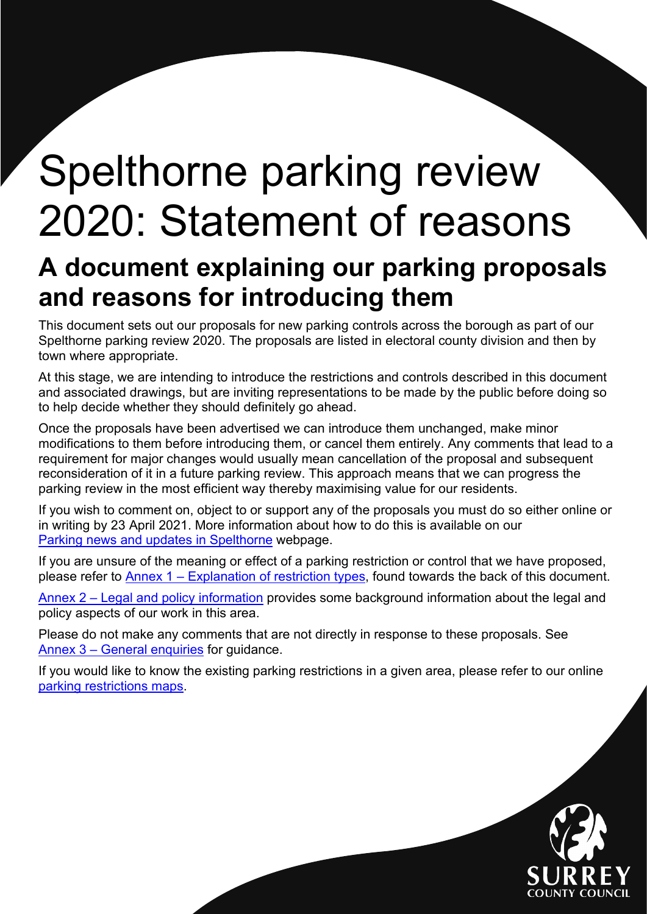# <span id="page-0-0"></span>Spelthorne parking review 2020: Statement of reasons

# **A document explaining our parking proposals and reasons for introducing them**

This document sets out our proposals for new parking controls across the borough as part of our Spelthorne parking review 2020. The proposals are listed in electoral county division and then by town where appropriate.

At this stage, we are intending to introduce the restrictions and controls described in this document and associated drawings, but are inviting representations to be made by the public before doing so to help decide whether they should definitely go ahead.

Once the proposals have been advertised we can introduce them unchanged, make minor modifications to them before introducing them, or cancel them entirely. Any comments that lead to a requirement for major changes would usually mean cancellation of the proposal and subsequent reconsideration of it in a future parking review. This approach means that we can progress the parking review in the most efficient way thereby maximising value for our residents.

If you wish to comment on, object to or support any of the proposals you must do so either online or in writing by 23 April 2021. More information about how to do this is available on our [Parking news and updates in Spelthorne](https://www.surreycc.gov.uk/roads-and-transport/parking/local-news-and-updates/spelthorne) webpage.

If you are unsure of the meaning or effect of a parking restriction or control that we have proposed, please refer to [Annex 1 – Explanation of restriction types,](#page-15-0) found towards the back of this document.

[Annex 2 – Legal and policy information](#page-17-0) provides some background information about the legal and policy aspects of our work in this area.

Please do not make any comments that are not directly in response to these proposals. See [Annex 3 – General enquiries](#page-19-0) for guidance.

If you would like to know the existing parking restrictions in a given area, please refer to our online [parking restrictions](https://www.surreycc.gov.uk/roads-and-transport/parking/restrictions-and-controls/interactive-map-of-parking-controls-in-surrey) maps.

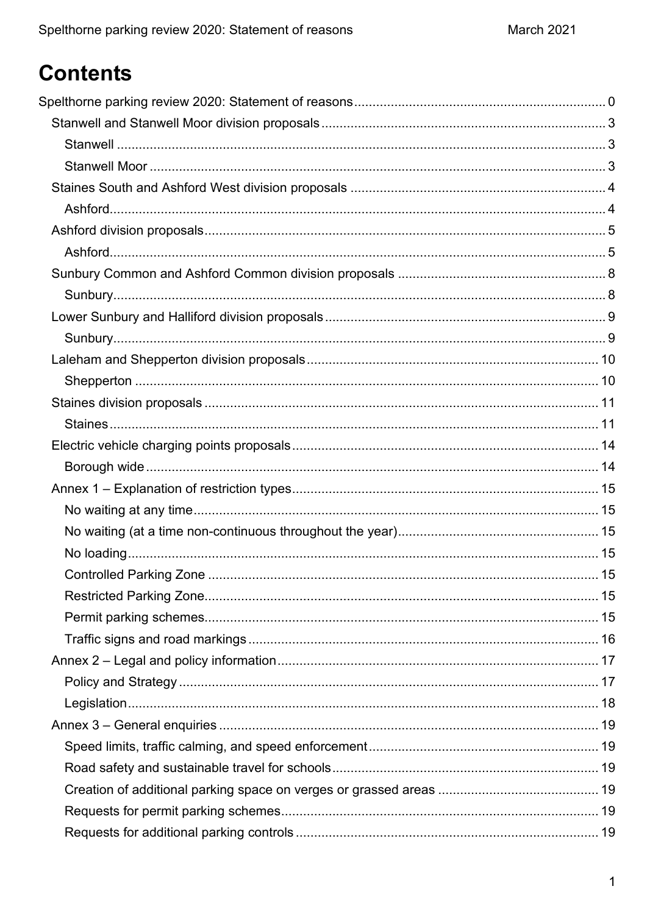# **Contents**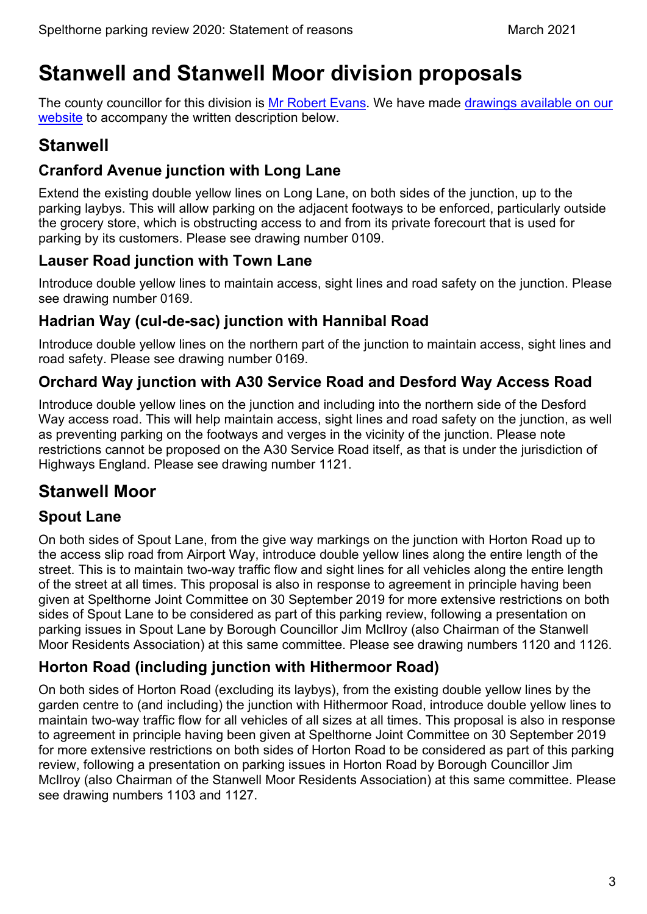# <span id="page-3-0"></span>**Stanwell and Stanwell Moor division proposals**

The county councillor for this division is [Mr Robert Evans.](https://mycouncil.surreycc.gov.uk/mgUserInfo.aspx?UID=948) We have made drawings available on our [website](https://www.surreycc.gov.uk/roads-and-transport/parking/local-news-and-updates/spelthorne/spelthorne-parking-review-2020) to accompany the written description below.

# <span id="page-3-1"></span>**Stanwell**

### **Cranford Avenue junction with Long Lane**

Extend the existing double yellow lines on Long Lane, on both sides of the junction, up to the parking laybys. This will allow parking on the adjacent footways to be enforced, particularly outside the grocery store, which is obstructing access to and from its private forecourt that is used for parking by its customers. Please see drawing number 0109.

### **Lauser Road junction with Town Lane**

Introduce double yellow lines to maintain access, sight lines and road safety on the junction. Please see drawing number 0169.

#### **Hadrian Way (cul-de-sac) junction with Hannibal Road**

Introduce double yellow lines on the northern part of the junction to maintain access, sight lines and road safety. Please see drawing number 0169.

### **Orchard Way junction with A30 Service Road and Desford Way Access Road**

Introduce double yellow lines on the junction and including into the northern side of the Desford Way access road. This will help maintain access, sight lines and road safety on the junction, as well as preventing parking on the footways and verges in the vicinity of the junction. Please note restrictions cannot be proposed on the A30 Service Road itself, as that is under the jurisdiction of Highways England. Please see drawing number 1121.

# <span id="page-3-2"></span>**Stanwell Moor**

### **Spout Lane**

On both sides of Spout Lane, from the give way markings on the junction with Horton Road up to the access slip road from Airport Way, introduce double yellow lines along the entire length of the street. This is to maintain two-way traffic flow and sight lines for all vehicles along the entire length of the street at all times. This proposal is also in response to agreement in principle having been given at Spelthorne Joint Committee on 30 September 2019 for more extensive restrictions on both sides of Spout Lane to be considered as part of this parking review, following a presentation on parking issues in Spout Lane by Borough Councillor Jim McIlroy (also Chairman of the Stanwell Moor Residents Association) at this same committee. Please see drawing numbers 1120 and 1126.

### **Horton Road (including junction with Hithermoor Road)**

On both sides of Horton Road (excluding its laybys), from the existing double yellow lines by the garden centre to (and including) the junction with Hithermoor Road, introduce double yellow lines to maintain two-way traffic flow for all vehicles of all sizes at all times. This proposal is also in response to agreement in principle having been given at Spelthorne Joint Committee on 30 September 2019 for more extensive restrictions on both sides of Horton Road to be considered as part of this parking review, following a presentation on parking issues in Horton Road by Borough Councillor Jim McIlroy (also Chairman of the Stanwell Moor Residents Association) at this same committee. Please see drawing numbers 1103 and 1127.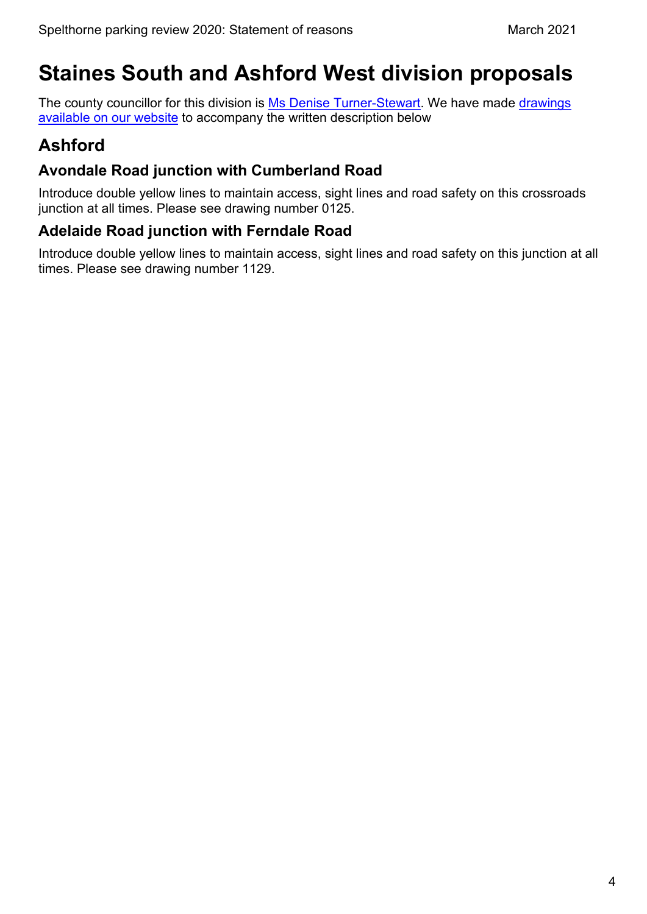# <span id="page-4-0"></span>**Staines South and Ashford West division proposals**

The county councillor for this division is [Ms Denise Turner-Stewart.](https://mycouncil.surreycc.gov.uk/mgUserInfo.aspx?UID=1812) We have made drawings [available on our website](https://www.surreycc.gov.uk/roads-and-transport/parking/local-news-and-updates/spelthorne/spelthorne-parking-review-2020) to accompany the written description below

# <span id="page-4-1"></span>**Ashford**

#### **Avondale Road junction with Cumberland Road**

Introduce double yellow lines to maintain access, sight lines and road safety on this crossroads junction at all times. Please see drawing number 0125.

#### **Adelaide Road junction with Ferndale Road**

Introduce double yellow lines to maintain access, sight lines and road safety on this junction at all times. Please see drawing number 1129.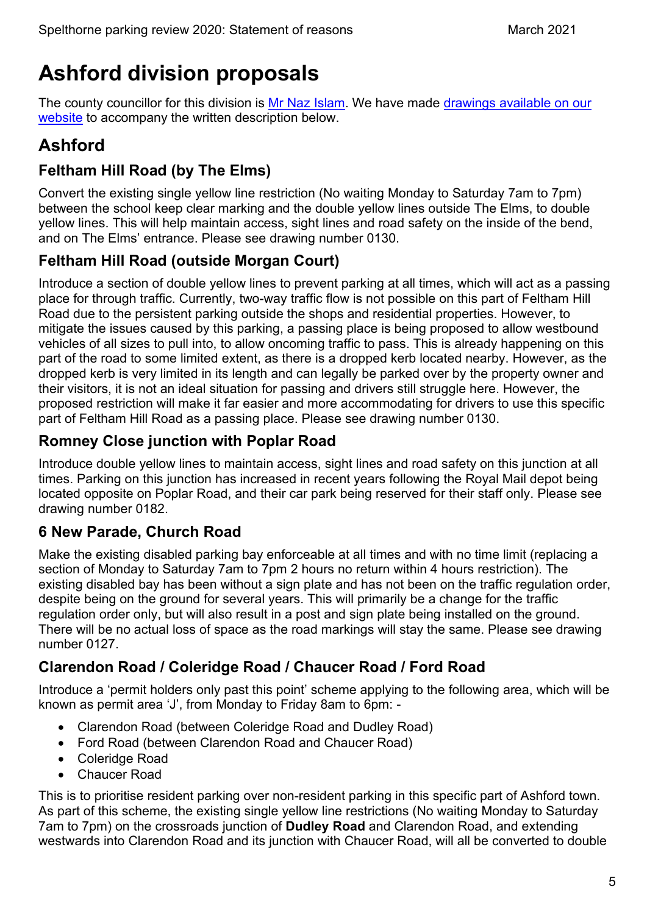# <span id="page-5-0"></span>**Ashford division proposals**

The county councillor for this division is [Mr Naz Islam.](https://mycouncil.surreycc.gov.uk/mgUserInfo.aspx?UID=2362) We have made drawings available on our [website](https://www.surreycc.gov.uk/roads-and-transport/parking/local-news-and-updates/spelthorne/spelthorne-parking-review-2020) to accompany the written description below.

# <span id="page-5-1"></span>**Ashford**

### **Feltham Hill Road (by The Elms)**

Convert the existing single yellow line restriction (No waiting Monday to Saturday 7am to 7pm) between the school keep clear marking and the double yellow lines outside The Elms, to double yellow lines. This will help maintain access, sight lines and road safety on the inside of the bend, and on The Elms' entrance. Please see drawing number 0130.

### **Feltham Hill Road (outside Morgan Court)**

Introduce a section of double yellow lines to prevent parking at all times, which will act as a passing place for through traffic. Currently, two-way traffic flow is not possible on this part of Feltham Hill Road due to the persistent parking outside the shops and residential properties. However, to mitigate the issues caused by this parking, a passing place is being proposed to allow westbound vehicles of all sizes to pull into, to allow oncoming traffic to pass. This is already happening on this part of the road to some limited extent, as there is a dropped kerb located nearby. However, as the dropped kerb is very limited in its length and can legally be parked over by the property owner and their visitors, it is not an ideal situation for passing and drivers still struggle here. However, the proposed restriction will make it far easier and more accommodating for drivers to use this specific part of Feltham Hill Road as a passing place. Please see drawing number 0130.

### **Romney Close junction with Poplar Road**

Introduce double yellow lines to maintain access, sight lines and road safety on this junction at all times. Parking on this junction has increased in recent years following the Royal Mail depot being located opposite on Poplar Road, and their car park being reserved for their staff only. Please see drawing number 0182.

### **6 New Parade, Church Road**

Make the existing disabled parking bay enforceable at all times and with no time limit (replacing a section of Monday to Saturday 7am to 7pm 2 hours no return within 4 hours restriction). The existing disabled bay has been without a sign plate and has not been on the traffic regulation order, despite being on the ground for several years. This will primarily be a change for the traffic regulation order only, but will also result in a post and sign plate being installed on the ground. There will be no actual loss of space as the road markings will stay the same. Please see drawing number 0127.

### **Clarendon Road / Coleridge Road / Chaucer Road / Ford Road**

Introduce a 'permit holders only past this point' scheme applying to the following area, which will be known as permit area 'J', from Monday to Friday 8am to 6pm: -

- Clarendon Road (between Coleridge Road and Dudley Road)
- Ford Road (between Clarendon Road and Chaucer Road)
- Coleridge Road
- Chaucer Road

This is to prioritise resident parking over non-resident parking in this specific part of Ashford town. As part of this scheme, the existing single yellow line restrictions (No waiting Monday to Saturday 7am to 7pm) on the crossroads junction of **Dudley Road** and Clarendon Road, and extending westwards into Clarendon Road and its junction with Chaucer Road, will all be converted to double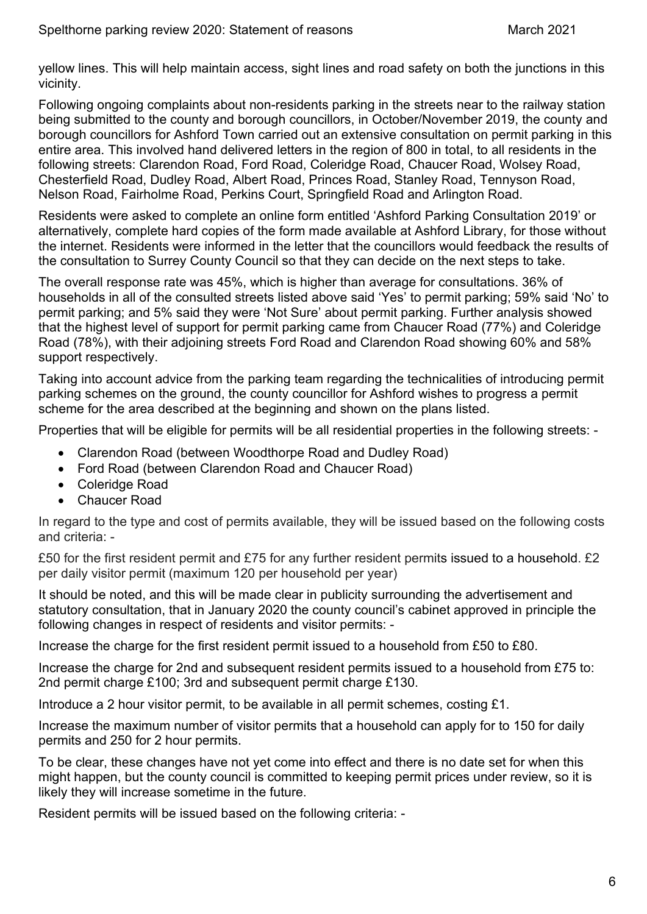yellow lines. This will help maintain access, sight lines and road safety on both the junctions in this vicinity.

Following ongoing complaints about non-residents parking in the streets near to the railway station being submitted to the county and borough councillors, in October/November 2019, the county and borough councillors for Ashford Town carried out an extensive consultation on permit parking in this entire area. This involved hand delivered letters in the region of 800 in total, to all residents in the following streets: Clarendon Road, Ford Road, Coleridge Road, Chaucer Road, Wolsey Road, Chesterfield Road, Dudley Road, Albert Road, Princes Road, Stanley Road, Tennyson Road, Nelson Road, Fairholme Road, Perkins Court, Springfield Road and Arlington Road.

Residents were asked to complete an online form entitled 'Ashford Parking Consultation 2019' or alternatively, complete hard copies of the form made available at Ashford Library, for those without the internet. Residents were informed in the letter that the councillors would feedback the results of the consultation to Surrey County Council so that they can decide on the next steps to take.

The overall response rate was 45%, which is higher than average for consultations. 36% of households in all of the consulted streets listed above said 'Yes' to permit parking; 59% said 'No' to permit parking; and 5% said they were 'Not Sure' about permit parking. Further analysis showed that the highest level of support for permit parking came from Chaucer Road (77%) and Coleridge Road (78%), with their adjoining streets Ford Road and Clarendon Road showing 60% and 58% support respectively.

Taking into account advice from the parking team regarding the technicalities of introducing permit parking schemes on the ground, the county councillor for Ashford wishes to progress a permit scheme for the area described at the beginning and shown on the plans listed.

Properties that will be eligible for permits will be all residential properties in the following streets: -

- Clarendon Road (between Woodthorpe Road and Dudley Road)
- Ford Road (between Clarendon Road and Chaucer Road)
- Coleridge Road
- Chaucer Road

In regard to the type and cost of permits available, they will be issued based on the following costs and criteria: -

£50 for the first resident permit and £75 for any further resident permits issued to a household. £2 per daily visitor permit (maximum 120 per household per year)

It should be noted, and this will be made clear in publicity surrounding the advertisement and statutory consultation, that in January 2020 the county council's cabinet approved in principle the following changes in respect of residents and visitor permits: -

Increase the charge for the first resident permit issued to a household from £50 to £80.

Increase the charge for 2nd and subsequent resident permits issued to a household from £75 to: 2nd permit charge £100; 3rd and subsequent permit charge £130.

Introduce a 2 hour visitor permit, to be available in all permit schemes, costing £1.

Increase the maximum number of visitor permits that a household can apply for to 150 for daily permits and 250 for 2 hour permits.

To be clear, these changes have not yet come into effect and there is no date set for when this might happen, but the county council is committed to keeping permit prices under review, so it is likely they will increase sometime in the future.

Resident permits will be issued based on the following criteria: -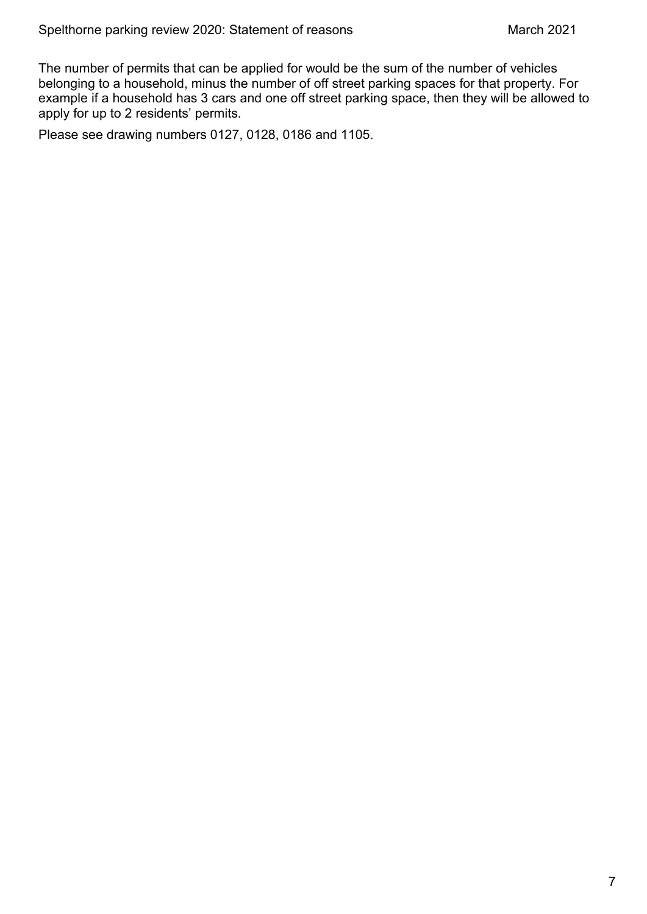The number of permits that can be applied for would be the sum of the number of vehicles belonging to a household, minus the number of off street parking spaces for that property. For example if a household has 3 cars and one off street parking space, then they will be allowed to apply for up to 2 residents' permits.

Please see drawing numbers 0127, 0128, 0186 and 1105.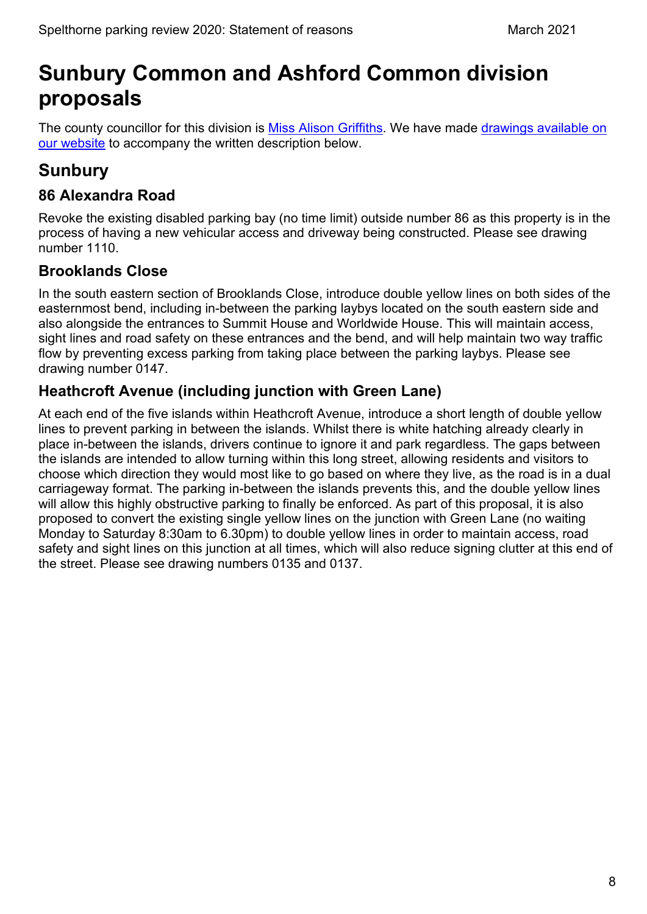# <span id="page-8-0"></span>**Sunbury Common and Ashford Common division proposals**

The county councillor for this division is [Miss Alison Griffiths.](https://mycouncil.surreycc.gov.uk/mgUserInfo.aspx?UID=2357) We have made [drawings available on](https://www.surreycc.gov.uk/roads-and-transport/parking/local-news-and-updates/spelthorne/spelthorne-parking-review-2020)  [our website](https://www.surreycc.gov.uk/roads-and-transport/parking/local-news-and-updates/spelthorne/spelthorne-parking-review-2020) to accompany the written description below.

# <span id="page-8-1"></span>**Sunbury**

#### **86 Alexandra Road**

Revoke the existing disabled parking bay (no time limit) outside number 86 as this property is in the process of having a new vehicular access and driveway being constructed. Please see drawing number 1110.

#### **Brooklands Close**

In the south eastern section of Brooklands Close, introduce double yellow lines on both sides of the easternmost bend, including in-between the parking laybys located on the south eastern side and also alongside the entrances to Summit House and Worldwide House. This will maintain access, sight lines and road safety on these entrances and the bend, and will help maintain two way traffic flow by preventing excess parking from taking place between the parking laybys. Please see drawing number 0147.

#### **Heathcroft Avenue (including junction with Green Lane)**

At each end of the five islands within Heathcroft Avenue, introduce a short length of double yellow lines to prevent parking in between the islands. Whilst there is white hatching already clearly in place in-between the islands, drivers continue to ignore it and park regardless. The gaps between the islands are intended to allow turning within this long street, allowing residents and visitors to choose which direction they would most like to go based on where they live, as the road is in a dual carriageway format. The parking in-between the islands prevents this, and the double yellow lines will allow this highly obstructive parking to finally be enforced. As part of this proposal, it is also proposed to convert the existing single yellow lines on the junction with Green Lane (no waiting Monday to Saturday 8:30am to 6.30pm) to double yellow lines in order to maintain access, road safety and sight lines on this junction at all times, which will also reduce signing clutter at this end of the street. Please see drawing numbers 0135 and 0137.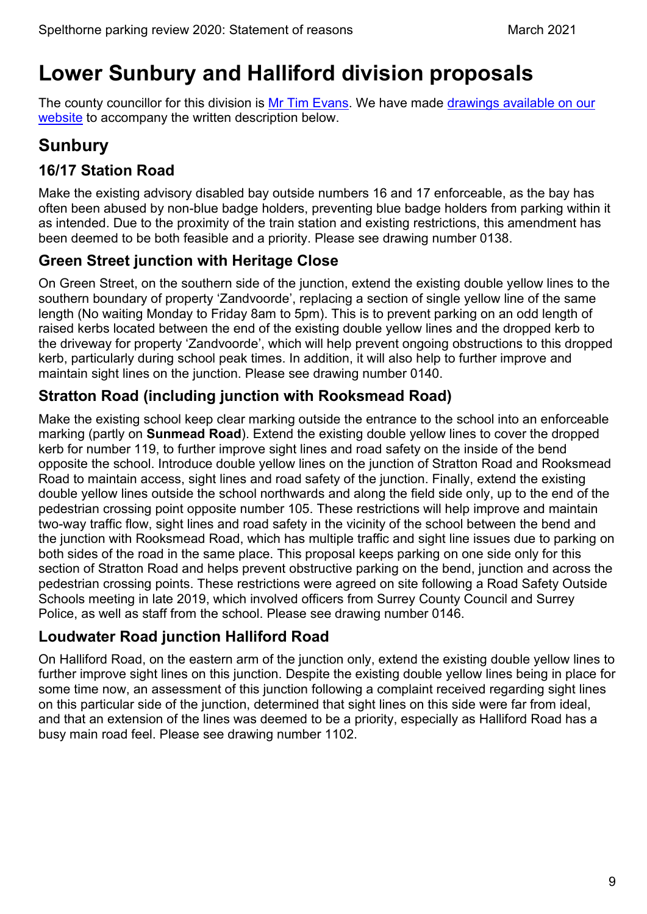# <span id="page-9-0"></span>**Lower Sunbury and Halliford division proposals**

The county councillor for this division is [Mr Tim Evans.](https://mycouncil.surreycc.gov.uk/mgUserInfo.aspx?UID=966) We have made [drawings available on our](https://www.surreycc.gov.uk/roads-and-transport/parking/local-news-and-updates/spelthorne/spelthorne-parking-review-2020)  [website](https://www.surreycc.gov.uk/roads-and-transport/parking/local-news-and-updates/spelthorne/spelthorne-parking-review-2020) to accompany the written description below.

# <span id="page-9-1"></span>**Sunbury**

### **16/17 Station Road**

Make the existing advisory disabled bay outside numbers 16 and 17 enforceable, as the bay has often been abused by non-blue badge holders, preventing blue badge holders from parking within it as intended. Due to the proximity of the train station and existing restrictions, this amendment has been deemed to be both feasible and a priority. Please see drawing number 0138.

#### **Green Street junction with Heritage Close**

On Green Street, on the southern side of the junction, extend the existing double yellow lines to the southern boundary of property 'Zandvoorde', replacing a section of single yellow line of the same length (No waiting Monday to Friday 8am to 5pm). This is to prevent parking on an odd length of raised kerbs located between the end of the existing double yellow lines and the dropped kerb to the driveway for property 'Zandvoorde', which will help prevent ongoing obstructions to this dropped kerb, particularly during school peak times. In addition, it will also help to further improve and maintain sight lines on the junction. Please see drawing number 0140.

#### **Stratton Road (including junction with Rooksmead Road)**

Make the existing school keep clear marking outside the entrance to the school into an enforceable marking (partly on **Sunmead Road**). Extend the existing double yellow lines to cover the dropped kerb for number 119, to further improve sight lines and road safety on the inside of the bend opposite the school. Introduce double yellow lines on the junction of Stratton Road and Rooksmead Road to maintain access, sight lines and road safety of the junction. Finally, extend the existing double yellow lines outside the school northwards and along the field side only, up to the end of the pedestrian crossing point opposite number 105. These restrictions will help improve and maintain two-way traffic flow, sight lines and road safety in the vicinity of the school between the bend and the junction with Rooksmead Road, which has multiple traffic and sight line issues due to parking on both sides of the road in the same place. This proposal keeps parking on one side only for this section of Stratton Road and helps prevent obstructive parking on the bend, junction and across the pedestrian crossing points. These restrictions were agreed on site following a Road Safety Outside Schools meeting in late 2019, which involved officers from Surrey County Council and Surrey Police, as well as staff from the school. Please see drawing number 0146.

#### **Loudwater Road junction Halliford Road**

On Halliford Road, on the eastern arm of the junction only, extend the existing double yellow lines to further improve sight lines on this junction. Despite the existing double yellow lines being in place for some time now, an assessment of this junction following a complaint received regarding sight lines on this particular side of the junction, determined that sight lines on this side were far from ideal, and that an extension of the lines was deemed to be a priority, especially as Halliford Road has a busy main road feel. Please see drawing number 1102.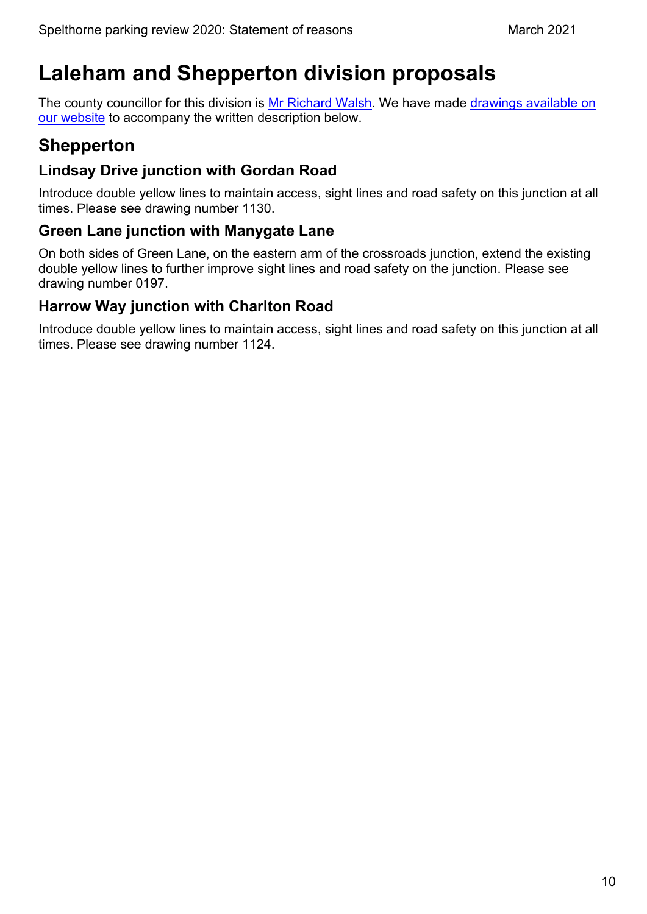# <span id="page-10-0"></span>**Laleham and Shepperton division proposals**

The county councillor for this division is [Mr Richard Walsh.](https://mycouncil.surreycc.gov.uk/mgUserInfo.aspx?UID=191) We have made drawings available on our [website](https://www.surreycc.gov.uk/roads-and-transport/parking/local-news-and-updates/spelthorne/spelthorne-parking-review-2020) to accompany the written description below.

# <span id="page-10-1"></span>**Shepperton**

#### **Lindsay Drive junction with Gordan Road**

Introduce double yellow lines to maintain access, sight lines and road safety on this junction at all times. Please see drawing number 1130.

#### **Green Lane junction with Manygate Lane**

On both sides of Green Lane, on the eastern arm of the crossroads junction, extend the existing double yellow lines to further improve sight lines and road safety on the junction. Please see drawing number 0197.

#### **Harrow Way junction with Charlton Road**

Introduce double yellow lines to maintain access, sight lines and road safety on this junction at all times. Please see drawing number 1124.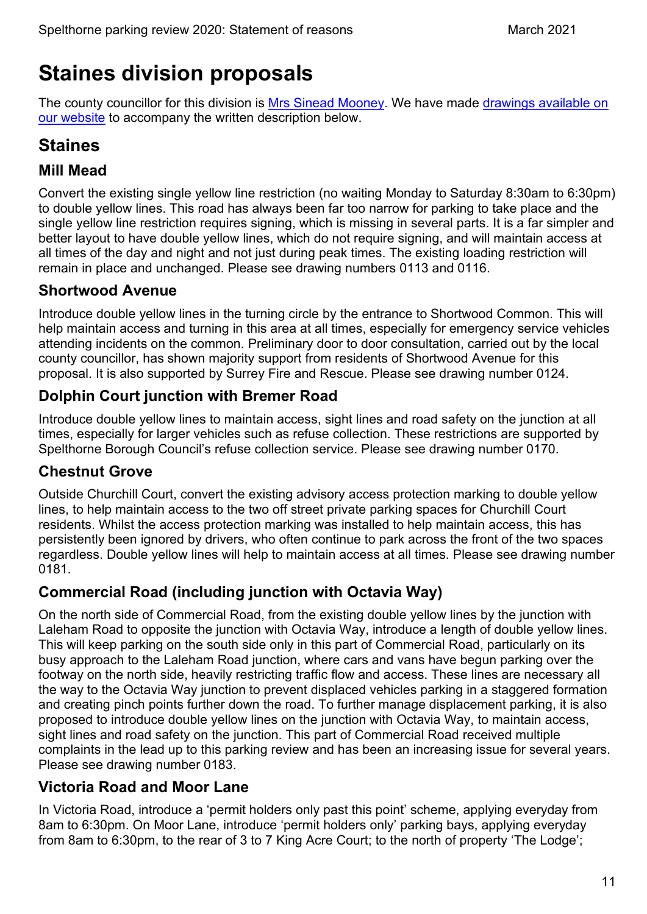# <span id="page-11-0"></span>**Staines division proposals**

The county councillor for this division is [Mrs Sinead Mooney.](https://mycouncil.surreycc.gov.uk/mgUserInfo.aspx?UID=2324) We have made [drawings available on](https://www.surreycc.gov.uk/roads-and-transport/parking/local-news-and-updates/spelthorne/spelthorne-parking-review-2020)  [our website](https://www.surreycc.gov.uk/roads-and-transport/parking/local-news-and-updates/spelthorne/spelthorne-parking-review-2020) to accompany the written description below.

# <span id="page-11-1"></span>**Staines**

### **Mill Mead**

Convert the existing single yellow line restriction (no waiting Monday to Saturday 8:30am to 6:30pm) to double yellow lines. This road has always been far too narrow for parking to take place and the single yellow line restriction requires signing, which is missing in several parts. It is a far simpler and better layout to have double yellow lines, which do not require signing, and will maintain access at all times of the day and night and not just during peak times. The existing loading restriction will remain in place and unchanged. Please see drawing numbers 0113 and 0116.

#### **Shortwood Avenue**

Introduce double yellow lines in the turning circle by the entrance to Shortwood Common. This will help maintain access and turning in this area at all times, especially for emergency service vehicles attending incidents on the common. Preliminary door to door consultation, carried out by the local county councillor, has shown majority support from residents of Shortwood Avenue for this proposal. It is also supported by Surrey Fire and Rescue. Please see drawing number 0124.

#### **Dolphin Court junction with Bremer Road**

Introduce double yellow lines to maintain access, sight lines and road safety on the junction at all times, especially for larger vehicles such as refuse collection. These restrictions are supported by Spelthorne Borough Council's refuse collection service. Please see drawing number 0170.

#### **Chestnut Grove**

Outside Churchill Court, convert the existing advisory access protection marking to double yellow lines, to help maintain access to the two off street private parking spaces for Churchill Court residents. Whilst the access protection marking was installed to help maintain access, this has persistently been ignored by drivers, who often continue to park across the front of the two spaces regardless. Double yellow lines will help to maintain access at all times. Please see drawing number 0181.

#### **Commercial Road (including junction with Octavia Way)**

On the north side of Commercial Road, from the existing double yellow lines by the junction with Laleham Road to opposite the junction with Octavia Way, introduce a length of double yellow lines. This will keep parking on the south side only in this part of Commercial Road, particularly on its busy approach to the Laleham Road junction, where cars and vans have begun parking over the footway on the north side, heavily restricting traffic flow and access. These lines are necessary all the way to the Octavia Way junction to prevent displaced vehicles parking in a staggered formation and creating pinch points further down the road. To further manage displacement parking, it is also proposed to introduce double yellow lines on the junction with Octavia Way, to maintain access, sight lines and road safety on the junction. This part of Commercial Road received multiple complaints in the lead up to this parking review and has been an increasing issue for several years. Please see drawing number 0183.

#### **Victoria Road and Moor Lane**

In Victoria Road, introduce a 'permit holders only past this point' scheme, applying everyday from 8am to 6:30pm. On Moor Lane, introduce 'permit holders only' parking bays, applying everyday from 8am to 6:30pm, to the rear of 3 to 7 King Acre Court; to the north of property 'The Lodge';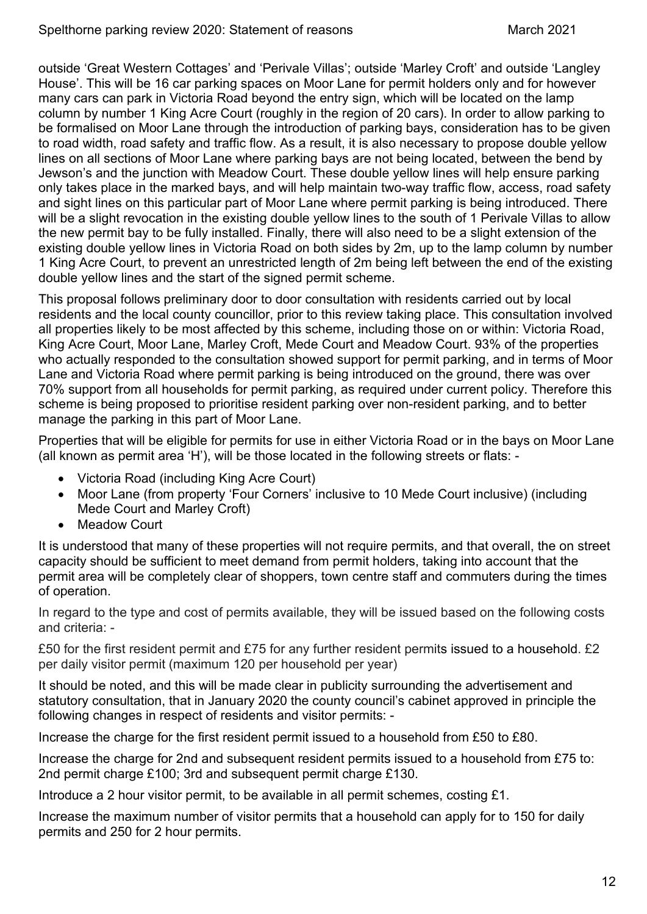outside 'Great Western Cottages' and 'Perivale Villas'; outside 'Marley Croft' and outside 'Langley House'. This will be 16 car parking spaces on Moor Lane for permit holders only and for however many cars can park in Victoria Road beyond the entry sign, which will be located on the lamp column by number 1 King Acre Court (roughly in the region of 20 cars). In order to allow parking to be formalised on Moor Lane through the introduction of parking bays, consideration has to be given to road width, road safety and traffic flow. As a result, it is also necessary to propose double yellow lines on all sections of Moor Lane where parking bays are not being located, between the bend by Jewson's and the junction with Meadow Court. These double yellow lines will help ensure parking only takes place in the marked bays, and will help maintain two-way traffic flow, access, road safety and sight lines on this particular part of Moor Lane where permit parking is being introduced. There will be a slight revocation in the existing double yellow lines to the south of 1 Perivale Villas to allow the new permit bay to be fully installed. Finally, there will also need to be a slight extension of the existing double yellow lines in Victoria Road on both sides by 2m, up to the lamp column by number 1 King Acre Court, to prevent an unrestricted length of 2m being left between the end of the existing double yellow lines and the start of the signed permit scheme.

This proposal follows preliminary door to door consultation with residents carried out by local residents and the local county councillor, prior to this review taking place. This consultation involved all properties likely to be most affected by this scheme, including those on or within: Victoria Road, King Acre Court, Moor Lane, Marley Croft, Mede Court and Meadow Court. 93% of the properties who actually responded to the consultation showed support for permit parking, and in terms of Moor Lane and Victoria Road where permit parking is being introduced on the ground, there was over 70% support from all households for permit parking, as required under current policy. Therefore this scheme is being proposed to prioritise resident parking over non-resident parking, and to better manage the parking in this part of Moor Lane.

Properties that will be eligible for permits for use in either Victoria Road or in the bays on Moor Lane (all known as permit area 'H'), will be those located in the following streets or flats: -

- Victoria Road (including King Acre Court)
- Moor Lane (from property 'Four Corners' inclusive to 10 Mede Court inclusive) (including Mede Court and Marley Croft)
- **Meadow Court**

It is understood that many of these properties will not require permits, and that overall, the on street capacity should be sufficient to meet demand from permit holders, taking into account that the permit area will be completely clear of shoppers, town centre staff and commuters during the times of operation.

In regard to the type and cost of permits available, they will be issued based on the following costs and criteria: -

£50 for the first resident permit and £75 for any further resident permits issued to a household. £2 per daily visitor permit (maximum 120 per household per year)

It should be noted, and this will be made clear in publicity surrounding the advertisement and statutory consultation, that in January 2020 the county council's cabinet approved in principle the following changes in respect of residents and visitor permits: -

Increase the charge for the first resident permit issued to a household from £50 to £80.

Increase the charge for 2nd and subsequent resident permits issued to a household from £75 to: 2nd permit charge £100; 3rd and subsequent permit charge £130.

Introduce a 2 hour visitor permit, to be available in all permit schemes, costing £1.

Increase the maximum number of visitor permits that a household can apply for to 150 for daily permits and 250 for 2 hour permits.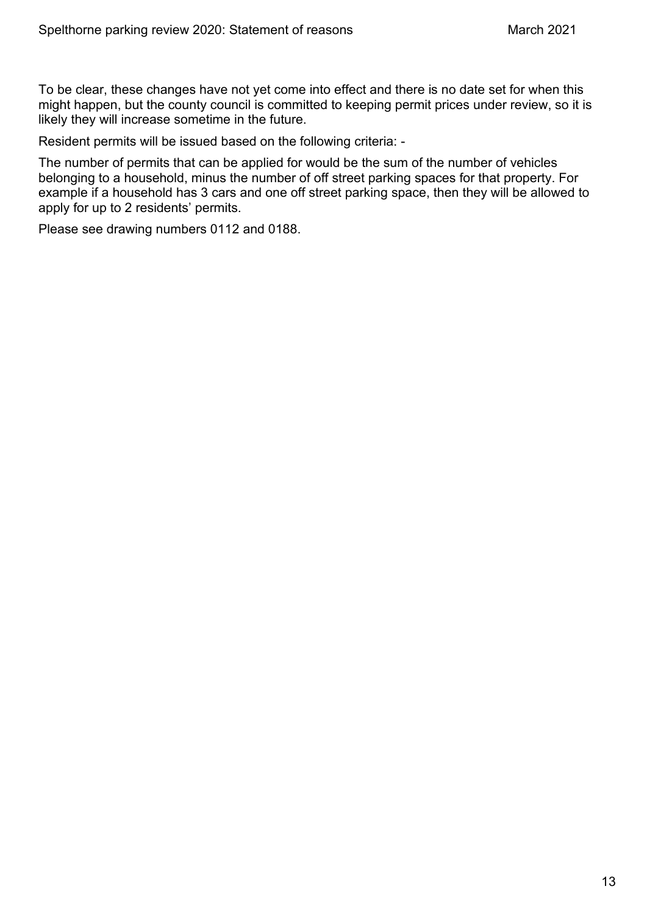To be clear, these changes have not yet come into effect and there is no date set for when this might happen, but the county council is committed to keeping permit prices under review, so it is likely they will increase sometime in the future.

Resident permits will be issued based on the following criteria: -

The number of permits that can be applied for would be the sum of the number of vehicles belonging to a household, minus the number of off street parking spaces for that property. For example if a household has 3 cars and one off street parking space, then they will be allowed to apply for up to 2 residents' permits.

Please see drawing numbers 0112 and 0188.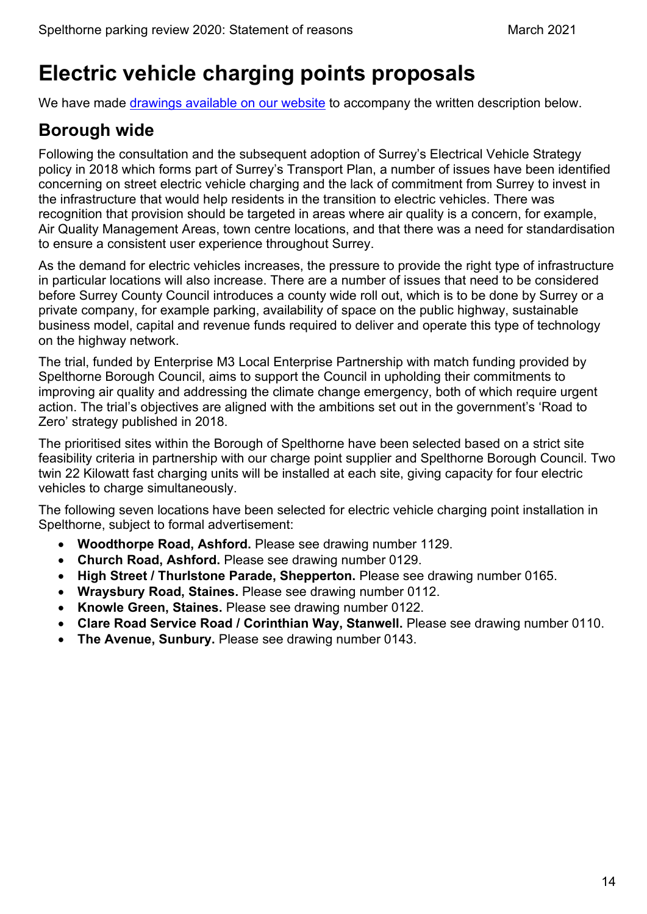# <span id="page-14-0"></span>**Electric vehicle charging points proposals**

We have made [drawings available on our website](https://www.surreycc.gov.uk/roads-and-transport/parking/local-news-and-updates/spelthorne/spelthorne-parking-review-2020) to accompany the written description below.

# <span id="page-14-1"></span>**Borough wide**

Following the consultation and the subsequent adoption of Surrey's Electrical Vehicle Strategy policy in 2018 which forms part of Surrey's Transport Plan, a number of issues have been identified concerning on street electric vehicle charging and the lack of commitment from Surrey to invest in the infrastructure that would help residents in the transition to electric vehicles. There was recognition that provision should be targeted in areas where air quality is a concern, for example, Air Quality Management Areas, town centre locations, and that there was a need for standardisation to ensure a consistent user experience throughout Surrey.

As the demand for electric vehicles increases, the pressure to provide the right type of infrastructure in particular locations will also increase. There are a number of issues that need to be considered before Surrey County Council introduces a county wide roll out, which is to be done by Surrey or a private company, for example parking, availability of space on the public highway, sustainable business model, capital and revenue funds required to deliver and operate this type of technology on the highway network.

The trial, funded by Enterprise M3 Local Enterprise Partnership with match funding provided by Spelthorne Borough Council, aims to support the Council in upholding their commitments to improving air quality and addressing the climate change emergency, both of which require urgent action. The trial's objectives are aligned with the ambitions set out in the government's 'Road to Zero' strategy published in 2018.

The prioritised sites within the Borough of Spelthorne have been selected based on a strict site feasibility criteria in partnership with our charge point supplier and Spelthorne Borough Council. Two twin 22 Kilowatt fast charging units will be installed at each site, giving capacity for four electric vehicles to charge simultaneously.

The following seven locations have been selected for electric vehicle charging point installation in Spelthorne, subject to formal advertisement:

- **Woodthorpe Road, Ashford.** Please see drawing number 1129.
- **Church Road, Ashford.** Please see drawing number 0129.
- **High Street / Thurlstone Parade, Shepperton.** Please see drawing number 0165.
- **Wraysbury Road, Staines.** Please see drawing number 0112.
- **Knowle Green, Staines.** Please see drawing number 0122.
- **Clare Road Service Road / Corinthian Way, Stanwell.** Please see drawing number 0110.
- **The Avenue, Sunbury.** Please see drawing number 0143.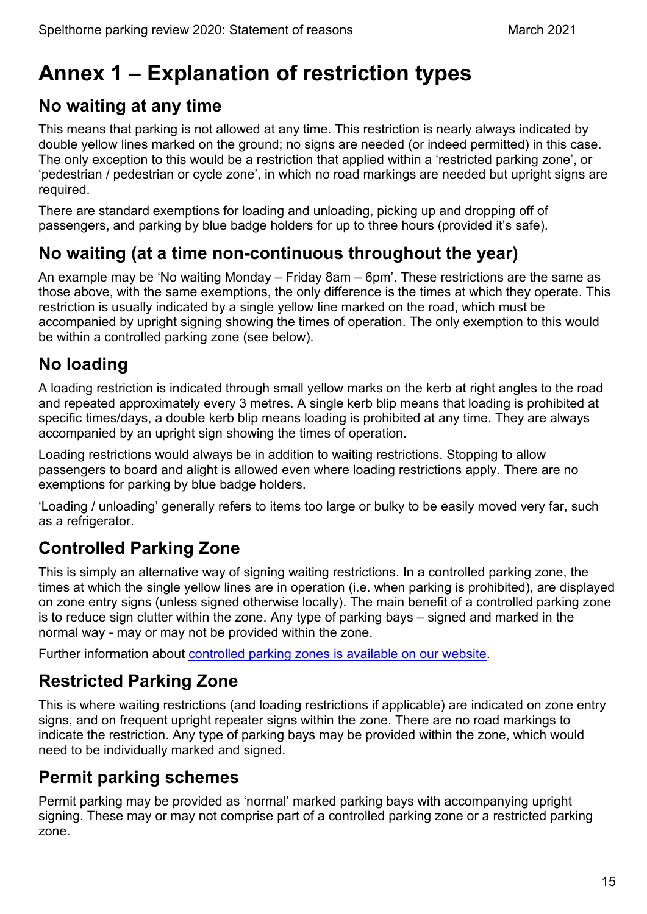# <span id="page-15-0"></span>**Annex 1 – Explanation of restriction types**

# <span id="page-15-1"></span>**No waiting at any time**

This means that parking is not allowed at any time. This restriction is nearly always indicated by double yellow lines marked on the ground; no signs are needed (or indeed permitted) in this case. The only exception to this would be a restriction that applied within a 'restricted parking zone', or 'pedestrian / pedestrian or cycle zone', in which no road markings are needed but upright signs are required.

There are standard exemptions for loading and unloading, picking up and dropping off of passengers, and parking by blue badge holders for up to three hours (provided it's safe).

# <span id="page-15-2"></span>**No waiting (at a time non-continuous throughout the year)**

An example may be 'No waiting Monday – Friday 8am – 6pm'. These restrictions are the same as those above, with the same exemptions, the only difference is the times at which they operate. This restriction is usually indicated by a single yellow line marked on the road, which must be accompanied by upright signing showing the times of operation. The only exemption to this would be within a controlled parking zone (see below).

# <span id="page-15-3"></span>**No loading**

A loading restriction is indicated through small yellow marks on the kerb at right angles to the road and repeated approximately every 3 metres. A single kerb blip means that loading is prohibited at specific times/days, a double kerb blip means loading is prohibited at any time. They are always accompanied by an upright sign showing the times of operation.

Loading restrictions would always be in addition to waiting restrictions. Stopping to allow passengers to board and alight is allowed even where loading restrictions apply. There are no exemptions for parking by blue badge holders.

'Loading / unloading' generally refers to items too large or bulky to be easily moved very far, such as a refrigerator.

# <span id="page-15-4"></span>**Controlled Parking Zone**

This is simply an alternative way of signing waiting restrictions. In a controlled parking zone, the times at which the single yellow lines are in operation (i.e. when parking is prohibited), are displayed on zone entry signs (unless signed otherwise locally). The main benefit of a controlled parking zone is to reduce sign clutter within the zone. Any type of parking bays – signed and marked in the normal way - may or may not be provided within the zone.

Further information about [controlled parking zones is available on our website.](https://www.surreycc.gov.uk/roads-and-transport/parking/restrictions-and-controls/controlled-parking-zones)

# <span id="page-15-5"></span>**Restricted Parking Zone**

This is where waiting restrictions (and loading restrictions if applicable) are indicated on zone entry signs, and on frequent upright repeater signs within the zone. There are no road markings to indicate the restriction. Any type of parking bays may be provided within the zone, which would need to be individually marked and signed.

# <span id="page-15-6"></span>**Permit parking schemes**

Permit parking may be provided as 'normal' marked parking bays with accompanying upright signing. These may or may not comprise part of a controlled parking zone or a restricted parking zone.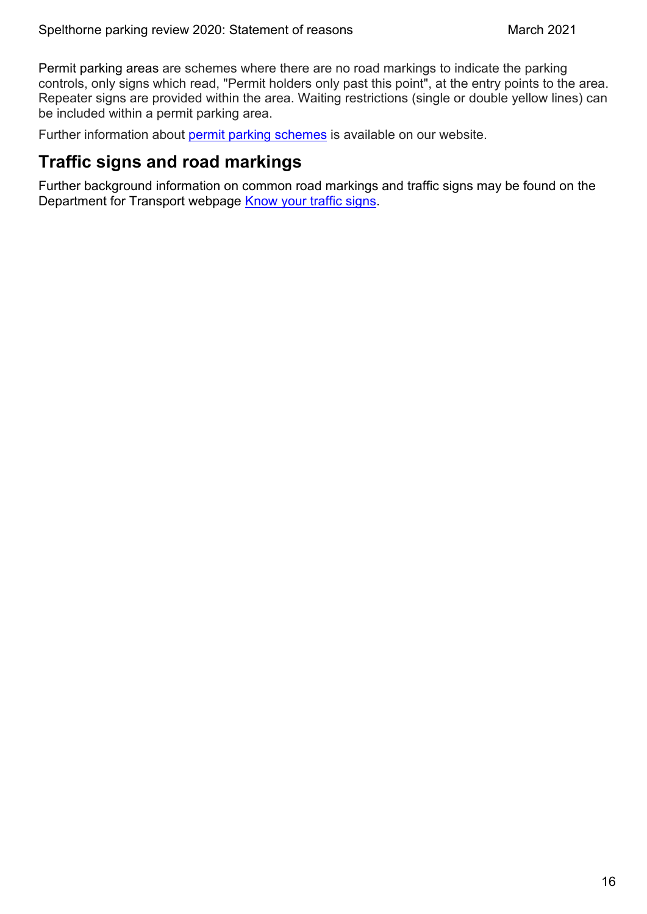Permit parking areas are schemes where there are no road markings to indicate the parking controls, only signs which read, "Permit holders only past this point", at the entry points to the area. Repeater signs are provided within the area. Waiting restrictions (single or double yellow lines) can be included within a permit parking area.

Further information about [permit parking schemes](https://www.surreycc.gov.uk/roads-and-transport/parking/restrictions-and-controls/permit-parking-schemes) is available on our website.

### <span id="page-16-0"></span>**Traffic signs and road markings**

Further background information on common road markings and traffic signs may be found on the Department for Transport webpage [Know your traffic signs.](https://www.gov.uk/government/publications/know-your-traffic-signs)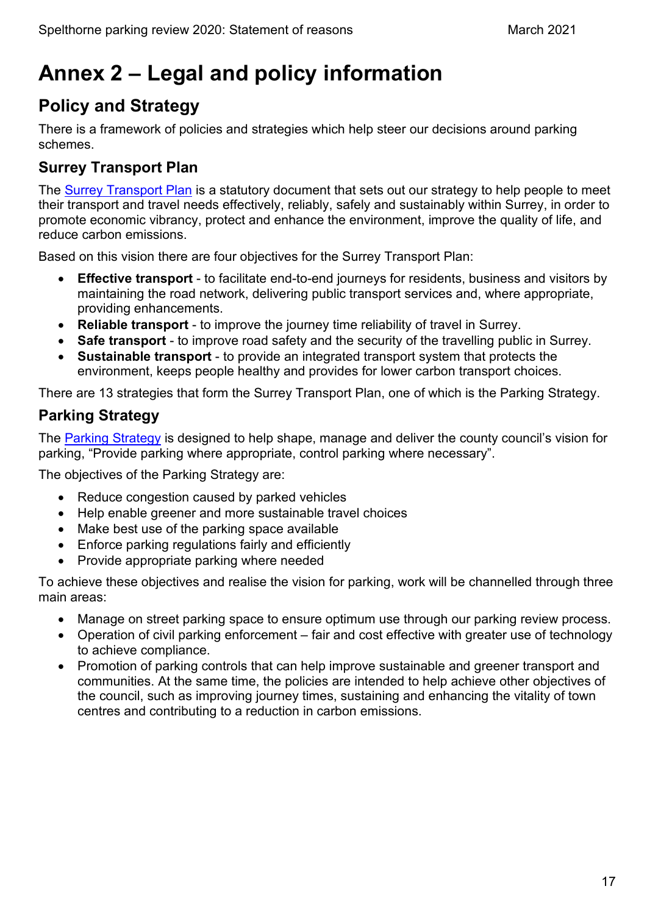# <span id="page-17-0"></span>**Annex 2 – Legal and policy information**

# <span id="page-17-1"></span>**Policy and Strategy**

There is a framework of policies and strategies which help steer our decisions around parking schemes.

#### **Surrey Transport Plan**

The [Surrey Transport Plan](https://www.surreycc.gov.uk/roads-and-transport/policies-plans-consultations/transport-plan) is a statutory document that sets out our strategy to help people to meet their transport and travel needs effectively, reliably, safely and sustainably within Surrey, in order to promote economic vibrancy, protect and enhance the environment, improve the quality of life, and reduce carbon emissions.

Based on this vision there are four objectives for the Surrey Transport Plan:

- **Effective transport** to facilitate end-to-end journeys for residents, business and visitors by maintaining the road network, delivering public transport services and, where appropriate, providing enhancements.
- **Reliable transport** to improve the journey time reliability of travel in Surrey.
- **Safe transport** to improve road safety and the security of the travelling public in Surrey.
- **Sustainable transport** to provide an integrated transport system that protects the environment, keeps people healthy and provides for lower carbon transport choices.

There are 13 strategies that form the Surrey Transport Plan, one of which is the Parking Strategy.

### **Parking Strategy**

The [Parking Strategy](https://www.surreycc.gov.uk/roads-and-transport/policies-plans-consultations/transport-plan/surrey-transport-plan-strategies/parking-strategy) is designed to help shape, manage and deliver the county council's vision for parking, "Provide parking where appropriate, control parking where necessary".

The objectives of the Parking Strategy are:

- Reduce congestion caused by parked vehicles
- Help enable greener and more sustainable travel choices
- Make best use of the parking space available
- Enforce parking regulations fairly and efficiently
- Provide appropriate parking where needed

To achieve these objectives and realise the vision for parking, work will be channelled through three main areas:

- Manage on street parking space to ensure optimum use through our parking review process.
- Operation of civil parking enforcement fair and cost effective with greater use of technology to achieve compliance.
- Promotion of parking controls that can help improve sustainable and greener transport and communities. At the same time, the policies are intended to help achieve other objectives of the council, such as improving journey times, sustaining and enhancing the vitality of town centres and contributing to a reduction in carbon emissions.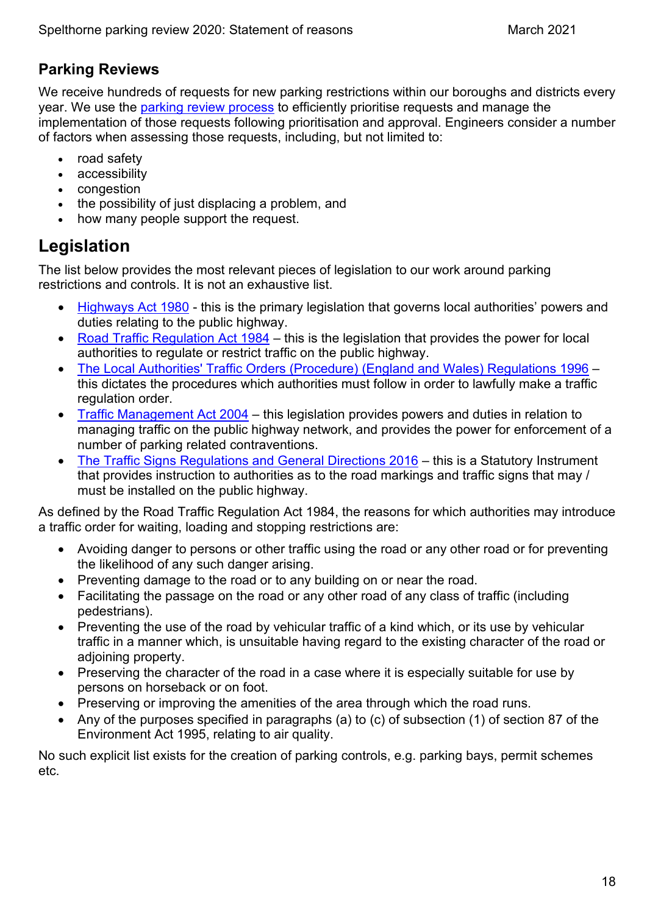#### **Parking Reviews**

We receive hundreds of requests for new parking restrictions within our boroughs and districts every year. We use the [parking review process](https://www.surreycc.gov.uk/roads-and-transport/parking/reviews) to efficiently prioritise requests and manage the implementation of those requests following prioritisation and approval. Engineers consider a number of factors when assessing those requests, including, but not limited to:

- road safety
- accessibility
- congestion
- the possibility of just displacing a problem, and
- how many people support the request.

# <span id="page-18-0"></span>**Legislation**

The list below provides the most relevant pieces of legislation to our work around parking restrictions and controls. It is not an exhaustive list.

- [Highways Act 1980](https://www.legislation.gov.uk/ukpga/1980/66/contents)  this is the primary legislation that governs local authorities' powers and duties relating to the public highway.
- Road Traffic Regulation Act  $1984 -$  this is the legislation that provides the power for local authorities to regulate or restrict traffic on the public highway.
- [The Local Authorities' Traffic Orders \(Procedure\) \(England and Wales\) Regulations 1996](https://www.legislation.gov.uk/uksi/1996/2489/contents/made)  this dictates the procedures which authorities must follow in order to lawfully make a traffic regulation order.
- [Traffic Management Act 2004](https://www.legislation.gov.uk/ukpga/2004/18/contents)  this legislation provides powers and duties in relation to managing traffic on the public highway network, and provides the power for enforcement of a number of parking related contraventions.
- [The Traffic Signs Regulations and General Directions 2016](https://www.legislation.gov.uk/uksi/2016/362/contents/made)  this is a Statutory Instrument that provides instruction to authorities as to the road markings and traffic signs that may / must be installed on the public highway.

As defined by the Road Traffic Regulation Act 1984, the reasons for which authorities may introduce a traffic order for waiting, loading and stopping restrictions are:

- Avoiding danger to persons or other traffic using the road or any other road or for preventing the likelihood of any such danger arising.
- Preventing damage to the road or to any building on or near the road.
- Facilitating the passage on the road or any other road of any class of traffic (including pedestrians).
- Preventing the use of the road by vehicular traffic of a kind which, or its use by vehicular traffic in a manner which, is unsuitable having regard to the existing character of the road or adjoining property.
- Preserving the character of the road in a case where it is especially suitable for use by persons on horseback or on foot.
- Preserving or improving the amenities of the area through which the road runs.
- Any of the purposes specified in paragraphs (a) to (c) of subsection (1) of section 87 of the Environment Act 1995, relating to air quality.

No such explicit list exists for the creation of parking controls, e.g. parking bays, permit schemes etc.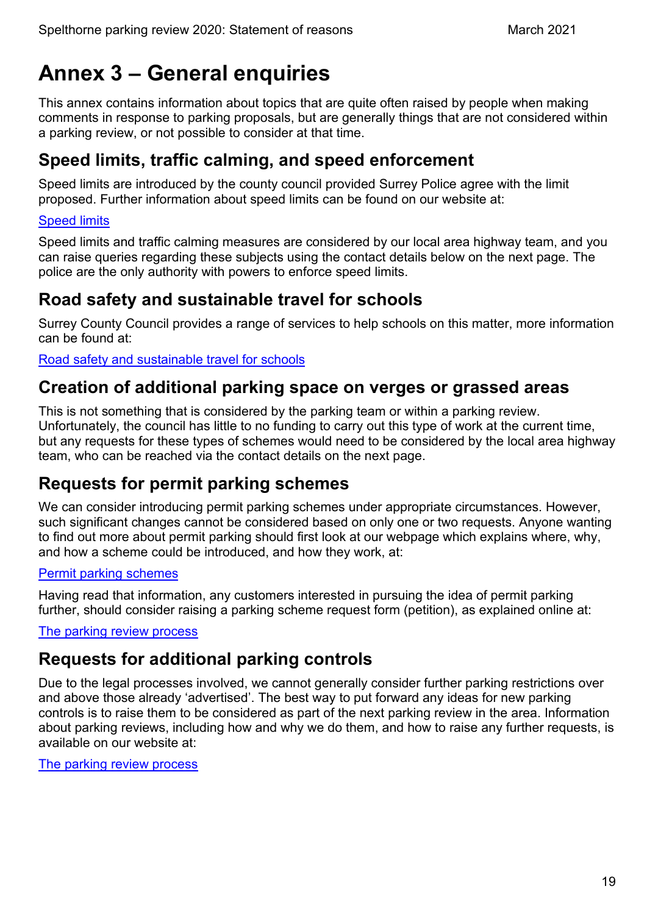# <span id="page-19-0"></span>**Annex 3 – General enquiries**

This annex contains information about topics that are quite often raised by people when making comments in response to parking proposals, but are generally things that are not considered within a parking review, or not possible to consider at that time.

# <span id="page-19-1"></span>**Speed limits, traffic calming, and speed enforcement**

Speed limits are introduced by the county council provided Surrey Police agree with the limit proposed. Further information about speed limits can be found on our website at:

#### [Speed limits](https://www.surreycc.gov.uk/roads-and-transport/road-safety/speed-limits)

Speed limits and traffic calming measures are considered by our local area highway team, and you can raise queries regarding these subjects using the contact details below on the next page. The police are the only authority with powers to enforce speed limits.

### <span id="page-19-2"></span>**Road safety and sustainable travel for schools**

Surrey County Council provides a range of services to help schools on this matter, more information can be found at:

[Road safety and sustainable travel for schools](https://www.surreycc.gov.uk/schools-and-learning/teachers-and-education-staff/road-safety-and-sustainable-travel-for-schools)

### <span id="page-19-3"></span>**Creation of additional parking space on verges or grassed areas**

This is not something that is considered by the parking team or within a parking review. Unfortunately, the council has little to no funding to carry out this type of work at the current time, but any requests for these types of schemes would need to be considered by the local area highway team, who can be reached via the contact details on the next page.

### <span id="page-19-4"></span>**Requests for permit parking schemes**

We can consider introducing permit parking schemes under appropriate circumstances. However, such significant changes cannot be considered based on only one or two requests. Anyone wanting to find out more about permit parking should first look at our webpage which explains where, why, and how a scheme could be introduced, and how they work, at:

#### [Permit parking schemes](https://www.surreycc.gov.uk/roads-and-transport/parking/restrictions-and-controls/permit-parking-schemes)

Having read that information, any customers interested in pursuing the idea of permit parking further, should consider raising a parking scheme request form (petition), as explained online at:

[The parking review process](https://www.surreycc.gov.uk/roads-and-transport/parking/reviews)

# <span id="page-19-5"></span>**Requests for additional parking controls**

Due to the legal processes involved, we cannot generally consider further parking restrictions over and above those already 'advertised'. The best way to put forward any ideas for new parking controls is to raise them to be considered as part of the next parking review in the area. Information about parking reviews, including how and why we do them, and how to raise any further requests, is available on our website at:

[The parking review process](https://www.surreycc.gov.uk/roads-and-transport/parking/reviews)